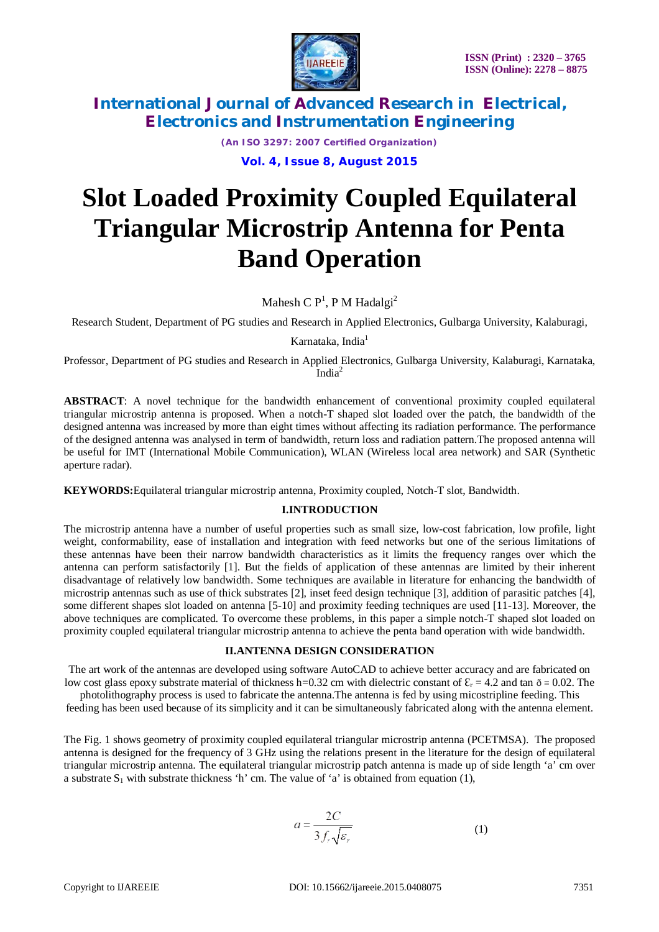

*(An ISO 3297: 2007 Certified Organization)*

**Vol. 4, Issue 8, August 2015**

# **Slot Loaded Proximity Coupled Equilateral Triangular Microstrip Antenna for Penta Band Operation**

Mahesh C  $\mathsf{P}^1\!,\mathsf{P}\,\mathsf{M}\,\mathsf{H}$ adalgi $^2$ 

Research Student, Department of PG studies and Research in Applied Electronics, Gulbarga University, Kalaburagi,

Karnataka, India<sup>1</sup>

Professor, Department of PG studies and Research in Applied Electronics, Gulbarga University, Kalaburagi, Karnataka, Indi $a^2$ 

**ABSTRACT**: A novel technique for the bandwidth enhancement of conventional proximity coupled equilateral triangular microstrip antenna is proposed. When a notch-T shaped slot loaded over the patch, the bandwidth of the designed antenna was increased by more than eight times without affecting its radiation performance. The performance of the designed antenna was analysed in term of bandwidth, return loss and radiation pattern.The proposed antenna will be useful for IMT (International Mobile Communication), WLAN (Wireless local area network) and SAR (Synthetic aperture radar).

**KEYWORDS:**Equilateral triangular microstrip antenna, Proximity coupled, Notch-T slot, Bandwidth.

### **I.INTRODUCTION**

The microstrip antenna have a number of useful properties such as small size, low-cost fabrication, low profile, light weight, conformability, ease of installation and integration with feed networks but one of the serious limitations of these antennas have been their narrow bandwidth characteristics as it limits the frequency ranges over which the antenna can perform satisfactorily [1]. But the fields of application of these antennas are limited by their inherent disadvantage of relatively low bandwidth. Some techniques are available in literature for enhancing the bandwidth of microstrip antennas such as use of thick substrates [2], inset feed design technique [3], addition of parasitic patches [4], some different shapes slot loaded on antenna [5-10] and proximity feeding techniques are used [11-13]. Moreover, the above techniques are complicated. To overcome these problems, in this paper a simple notch-T shaped slot loaded on proximity coupled equilateral triangular microstrip antenna to achieve the penta band operation with wide bandwidth.

### **II.ANTENNA DESIGN CONSIDERATION**

The art work of the antennas are developed using software AutoCAD to achieve better accuracy and are fabricated on low cost glass epoxy substrate material of thickness h=0.32 cm with dielectric constant of  $\mathcal{E}_r = 4.2$  and tan  $\delta = 0.02$ . The

photolithography process is used to fabricate the antenna.The antenna is fed by using micostripline feeding. This feeding has been used because of its simplicity and it can be simultaneously fabricated along with the antenna element.

The Fig. 1 shows geometry of proximity coupled equilateral triangular microstrip antenna (PCETMSA). The proposed antenna is designed for the frequency of 3 GHz using the relations present in the literature for the design of equilateral triangular microstrip antenna. The equilateral triangular microstrip patch antenna is made up of side length 'a' cm over a substrate  $S_1$  with substrate thickness 'h' cm. The value of 'a' is obtained from equation (1),

$$
a = \frac{2C}{3f_r\sqrt{\varepsilon_r}}\tag{1}
$$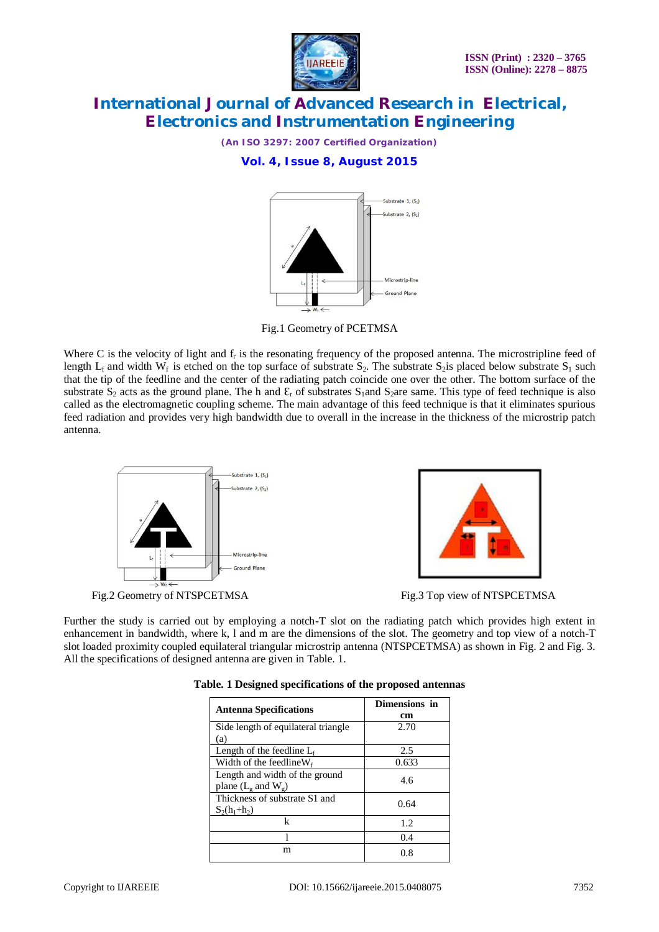

*(An ISO 3297: 2007 Certified Organization)*

**Vol. 4, Issue 8, August 2015**



Fig.1 Geometry of PCETMSA

Where C is the velocity of light and  $f_r$  is the resonating frequency of the proposed antenna. The microstripline feed of length  $L_f$  and width  $W_f$  is etched on the top surface of substrate  $S_2$ . The substrate  $S_2$  placed below substrate  $S_1$  such that the tip of the feedline and the center of the radiating patch coincide one over the other. The bottom surface of the substrate  $S_2$  acts as the ground plane. The h and  $\mathcal{E}_r$  of substrates  $S_1$  and  $S_2$  are same. This type of feed technique is also called as the electromagnetic coupling scheme. The main advantage of this feed technique is that it eliminates spurious feed radiation and provides very high bandwidth due to overall in the increase in the thickness of the microstrip patch antenna.



Further the study is carried out by employing a notch-T slot on the radiating patch which provides high extent in enhancement in bandwidth, where k, l and m are the dimensions of the slot. The geometry and top view of a notch-T slot loaded proximity coupled equilateral triangular microstrip antenna (NTSPCETMSA) as shown in Fig. 2 and Fig. 3. All the specifications of designed antenna are given in Table. 1.

| <b>Antenna Specifications</b>                                         | Dimensions in<br>cm |  |
|-----------------------------------------------------------------------|---------------------|--|
| Side length of equilateral triangle.<br>(a)                           | 2.70                |  |
| Length of the feedline $L_f$                                          | 2.5                 |  |
| Width of the feedline $W_f$                                           | 0.633               |  |
| Length and width of the ground<br>plane $(L_{\circ}$ and $W_{\circ})$ | 4.6                 |  |
| Thickness of substrate S1 and<br>$S_2(h_1+h_2)$                       | 0.64                |  |
| k                                                                     | 1.2                 |  |
|                                                                       | 0.4                 |  |
| m                                                                     | 0.8                 |  |

| Table. 1 Designed specifications of the proposed antennas |  |  |  |  |
|-----------------------------------------------------------|--|--|--|--|
|-----------------------------------------------------------|--|--|--|--|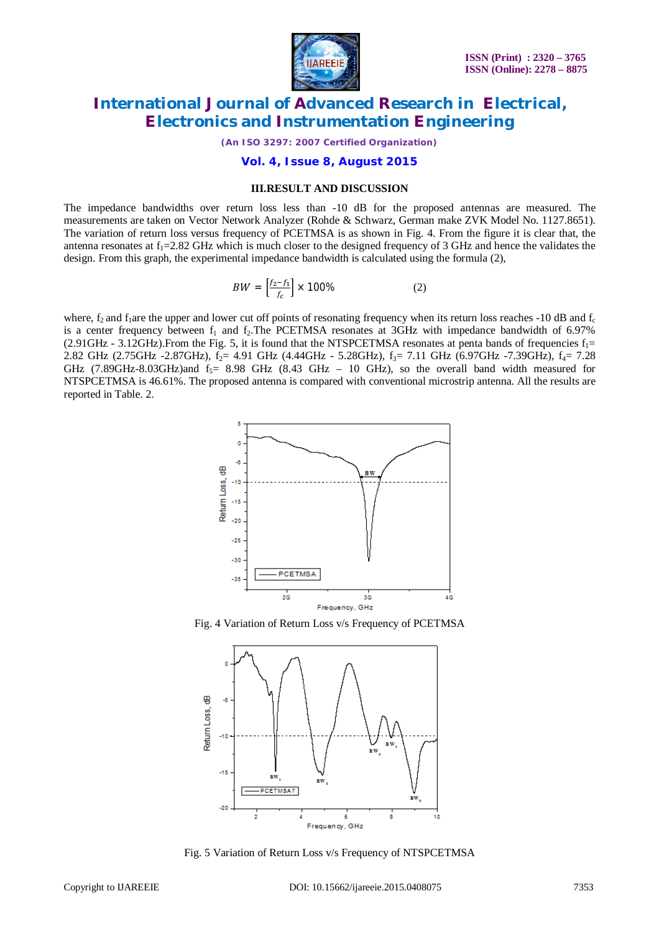

*(An ISO 3297: 2007 Certified Organization)*

#### **Vol. 4, Issue 8, August 2015**

#### **III.RESULT AND DISCUSSION**

The impedance bandwidths over return loss less than -10 dB for the proposed antennas are measured. The measurements are taken on Vector Network Analyzer (Rohde & Schwarz, German make ZVK Model No. 1127.8651). The variation of return loss versus frequency of PCETMSA is as shown in Fig. 4. From the figure it is clear that, the antenna resonates at  $f_1 = 2.82$  GHz which is much closer to the designed frequency of 3 GHz and hence the validates the design. From this graph, the experimental impedance bandwidth is calculated using the formula (2),

$$
BW = \left[\frac{f_2 - f_1}{f_c}\right] \times 100\% \tag{2}
$$

where,  $f_2$  and  $f_1$ are the upper and lower cut off points of resonating frequency when its return loss reaches -10 dB and  $f_c$ is a center frequency between  $f_1$  and  $f_2$ . The PCETMSA resonates at 3GHz with impedance bandwidth of 6.97%  $(2.91$ GHz - 3.12GHz). From the Fig. 5, it is found that the NTSPCETMSA resonates at penta bands of frequencies  $f_1$ = 2.82 GHz (2.75GHz -2.87GHz),  $f_2$ = 4.91 GHz (4.44GHz - 5.28GHz),  $f_3$ = 7.11 GHz (6.97GHz -7.39GHz),  $f_4$ = 7.28 GHz (7.89GHz-8.03GHz)and  $f_5$  = 8.98 GHz (8.43 GHz – 10 GHz), so the overall band width measured for NTSPCETMSA is 46.61%. The proposed antenna is compared with conventional microstrip antenna. All the results are reported in Table. 2.



Fig. 4 Variation of Return Loss v/s Frequency of PCETMSA



Fig. 5 Variation of Return Loss v/s Frequency of NTSPCETMSA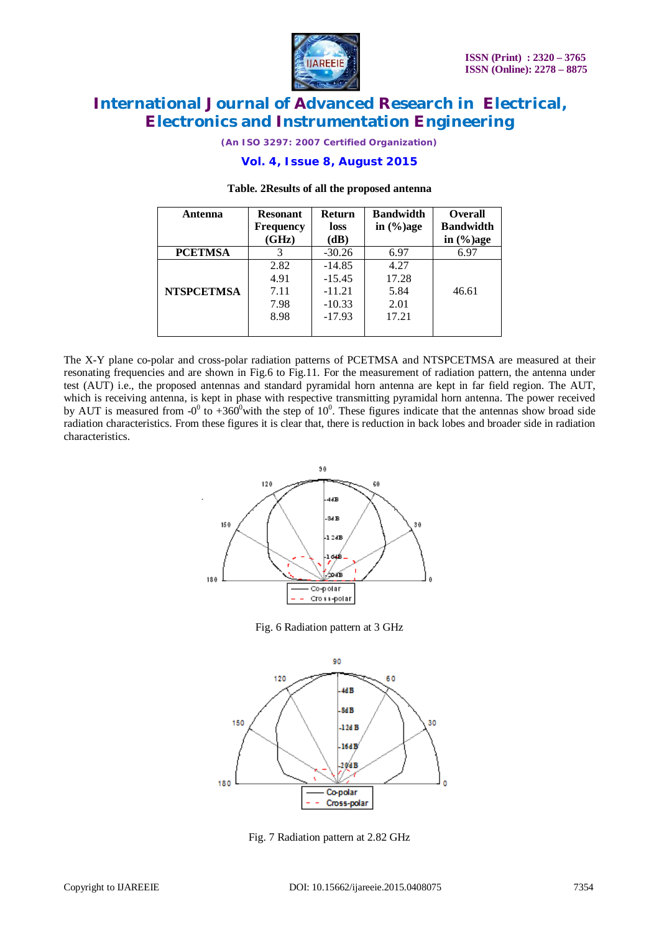

*(An ISO 3297: 2007 Certified Organization)*

### **Vol. 4, Issue 8, August 2015**

| Antenna           | <b>Resonant</b><br><b>Frequency</b><br>(GHz) | <b>Return</b><br>loss | <b>Bandwidth</b><br>in $\left(\frac{6}{6}\right)$ age | <b>Overall</b><br><b>Bandwidth</b> |
|-------------------|----------------------------------------------|-----------------------|-------------------------------------------------------|------------------------------------|
|                   |                                              | (dB)                  |                                                       | in $(\% )$ age                     |
| <b>PCETMSA</b>    | 3                                            | $-30.26$              | 6.97                                                  | 6.97                               |
|                   | 2.82                                         | $-14.85$              | 4.27                                                  |                                    |
|                   | 4.91                                         | $-15.45$              | 17.28                                                 |                                    |
| <b>NTSPCETMSA</b> | 7.11                                         | $-11.21$              | 5.84                                                  | 46.61                              |
|                   | 7.98                                         | $-10.33$              | 2.01                                                  |                                    |
|                   | 8.98                                         | $-17.93$              | 17.21                                                 |                                    |
|                   |                                              |                       |                                                       |                                    |

#### **Table. 2Results of all the proposed antenna**

The X-Y plane co-polar and cross-polar radiation patterns of PCETMSA and NTSPCETMSA are measured at their resonating frequencies and are shown in Fig.6 to Fig.11. For the measurement of radiation pattern, the antenna under test (AUT) i.e., the proposed antennas and standard pyramidal horn antenna are kept in far field region. The AUT, which is receiving antenna, is kept in phase with respective transmitting pyramidal horn antenna. The power received by AUT is measured from  $-0^0$  to  $+360^0$  with the step of  $10^0$ . These figures indicate that the antennas show broad side radiation characteristics. From these figures it is clear that, there is reduction in back lobes and broader side in radiation characteristics.



Fig. 6 Radiation pattern at 3 GHz



Fig. 7 Radiation pattern at 2.82 GHz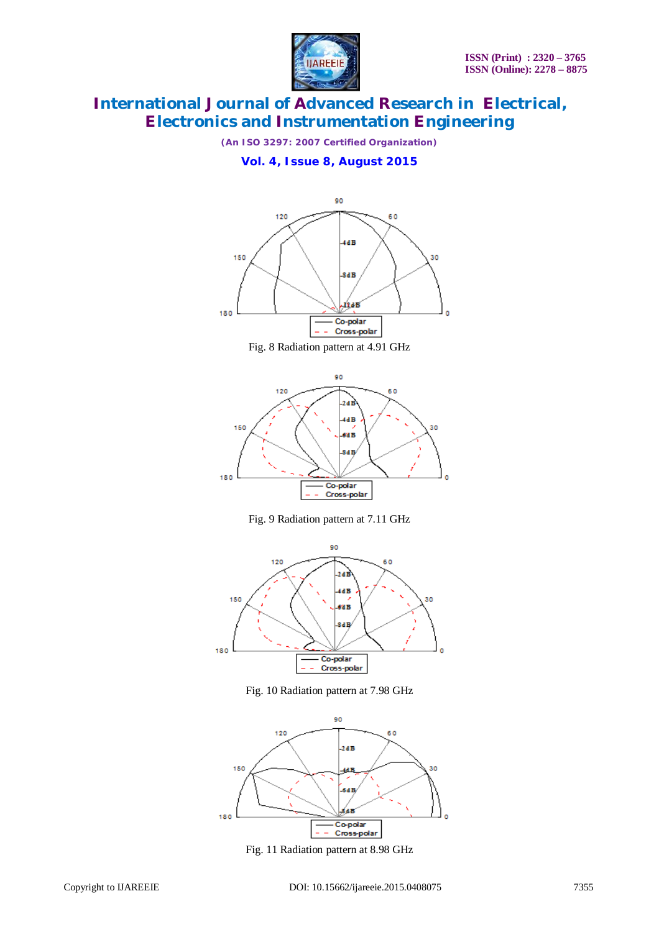

*(An ISO 3297: 2007 Certified Organization)*

**Vol. 4, Issue 8, August 2015**



Fig. 8 Radiation pattern at 4.91 GHz



Fig. 9 Radiation pattern at 7.11 GHz



Fig. 10 Radiation pattern at 7.98 GHz



Fig. 11 Radiation pattern at 8.98 GHz